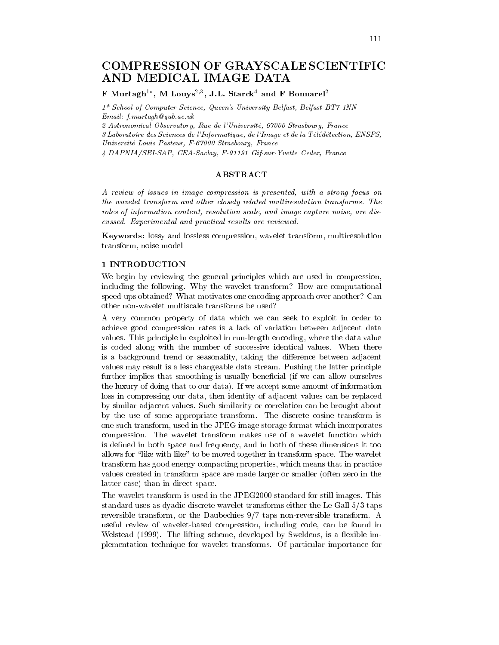# **COMPRESSION OF GRAYSCALE SCIENTIFIC** AND MEDICAL IMAGE DATA

# F Murtagh<sup>1\*</sup>, M Louys<sup>2,3</sup>, J.L. Starck<sup>4</sup> and F Bonnarel<sup>2</sup>

1\* School of Computer Science, Queen's University Belfast, Belfast BT7 1NN  $Email: f.murtagh@qub.ac.uk$ 

2 Astronomical Observatory, Rue de l'Université, 67000 Strasbourg, France

3 Laboratoire des Sciences de l'Informatique, de l'Image et de la Télédétection, ENSPS, Université Louis Pasteur, F-67000 Strasbourg, France

4 DAPNIA/SEI-SAP, CEA-Saclay, F-91191 Gif-sur-Yvette Cedex, France

# **ABSTRACT**

A review of issues in image compression is presented, with a strong focus on the wavelet transform and other closely related multiresolution transforms. The roles of information content, resolution scale, and image capture noise, are discussed. Experimental and practical results are reviewed.

**Keywords:** lossy and lossless compression, wavelet transform, multiresolution transform, noise model

## 1 INTRODUCTION

We begin by reviewing the general principles which are used in compression, including the following. Why the wavelet transform? How are computational speed-ups obtained? What motivates one encoding approach over another? Can other non-wavelet multiscale transforms be used?

A very common property of data which we can seek to exploit in order to achieve good compression rates is a lack of variation between adjacent data values. This principle in exploited in run-length encoding, where the data value is coded along with the number of successive identical values. When there is a background trend or seasonality, taking the difference between adjacent values may result is a less changeable data stream. Pushing the latter principle further implies that smoothing is usually beneficial (if we can allow ourselves the luxury of doing that to our data). If we accept some amount of information loss in compressing our data, then identity of adjacent values can be replaced by similar adjacent values. Such similarity or correlation can be brought about by the use of some appropriate transform. The discrete cosine transform is one such transform, used in the JPEG image storage format which incorporates compression. The wavelet transform makes use of a wavelet function which is defined in both space and frequency, and in both of these dimensions it too allows for "like with like" to be moved together in transform space. The wavelet transform has good energy compacting properties, which means that in practice values created in transform space are made larger or smaller (often zero in the latter case) than in direct space.

The wavelet transform is used in the JPEG2000 standard for still images. This standard uses as dyadic discrete wavelet transforms either the Le Gall  $5/3$  taps reversible transform, or the Daubechies  $9/7$  taps non-reversible transform. A useful review of wavelet-based compression, including code, can be found in Welstead (1999). The lifting scheme, developed by Sweldens, is a flexible implementation technique for wavelet transforms. Of particular importance for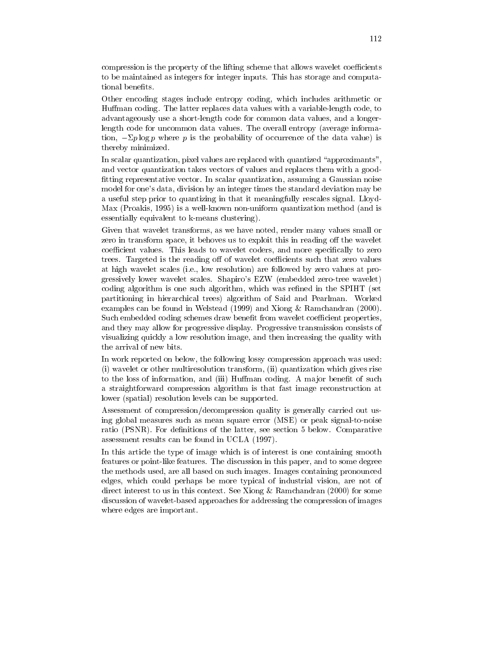compression is the property of the lifting scheme that allows wavelet coefficients to be maintained as integers for integer inputs. This has storage and computational benefits.

Other encoding stages include entropy coding, which includes arithmetic or Huffman coding. The latter replaces data values with a variable-length code, to advantageously use a short-length code for common data values, and a longerlength code for uncommon data values. The overall entropy (average information,  $-\Sigma p \log p$  where p is the probability of occurrence of the data value) is thereby minimized.

In scalar quantization, pixel values are replaced with quantized "approximants", and vector quantization takes vectors of values and replaces them with a goodfitting representative vector. In scalar quantization, assuming a Gaussian noise model for one's data, division by an integer times the standard deviation may be a useful step prior to quantizing in that it meaningfully rescales signal. Lloyd-Max (Proakis, 1995) is a well-known non-uniform quantization method (and is essentially equivalent to k-means clustering).

Given that wavelet transforms, as we have noted, render many values small or zero in transform space, it behoves us to exploit this in reading off the wavelet coefficient values. This leads to wavelet coders, and more specifically to zero trees. Targeted is the reading off of wavelet coefficients such that zero values at high wavelet scales (i.e., low resolution) are followed by zero values at progressively lower wavelet scales. Shapiro's EZW (embedded zero-tree wavelet) coding algorithm is one such algorithm, which was refined in the SPIHT (set partitioning in hierarchical trees) algorithm of Said and Pearlman. Worked examples can be found in Welstead  $(1999)$  and Xiong & Ramchandran  $(2000)$ . Such embedded coding schemes draw benefit from wavelet coefficient properties, and they may allow for progressive display. Progressive transmission consists of visualizing quickly a low resolution image, and then increasing the quality with the arrival of new bits.

In work reported on below, the following lossy compression approach was used: (i) wavelet or other multiresolution transform, (ii) quantization which gives rise to the loss of information, and (iii) Huffman coding. A major benefit of such a straightforward compression algorithm is that fast image reconstruction at lower (spatial) resolution levels can be supported.

Assessment of compression/decompression quality is generally carried out using global measures such as mean square error (MSE) or peak signal-to-noise ratio (PSNR). For definitions of the latter, see section 5 below. Comparative assessment results can be found in UCLA (1997).

In this article the type of image which is of interest is one containing smooth features or point-like features. The discussion in this paper, and to some degree the methods used, are all based on such images. Images containing pronounced edges, which could perhaps be more typical of industrial vision, are not of direct interest to us in this context. See Xiong  $\&$  Ramchandran (2000) for some discussion of wavelet-based approaches for addressing the compression of images where edges are important.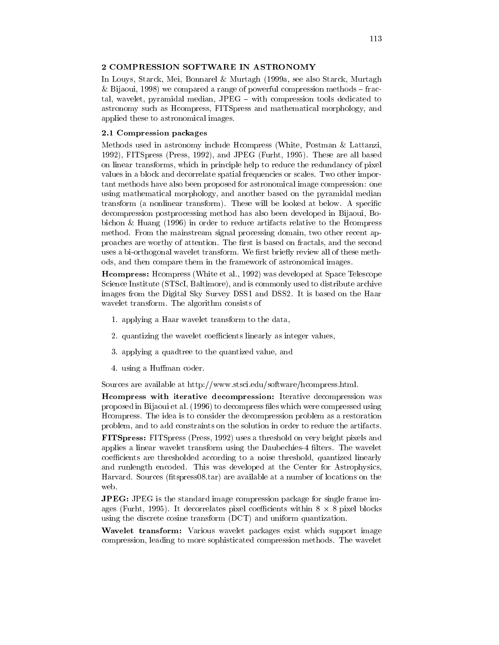# 2 COMPRESSION SOFTWARE IN ASTRONOMY

In Louvs, Starck, Mei, Bonnarel & Murtagh (1999a, see also Starck, Murtagh & Bijaoui, 1998) we compared a range of powerful compression methods  $-$  fractal, wavelet, pyramidal median, JPEG - with compression tools dedicated to astronomy such as Heompress, FITSpress and mathematical morphology, and applied these to astronomical images.

#### 2.1 Compression packages

Methods used in astronomy include Hompress (White, Postman & Lattanzi, 1992), FITSpress (Press, 1992), and JPEG (Furht, 1995). These are all based on linear transforms, which in principle help to reduce the redundancy of pixel values in a block and decorrelate spatial frequencies or scales. Two other important methods have also been proposed for astronomical image compression: one using mathematical morphology, and another based on the pyramidal median transform (a nonlinear transform). These will be looked at below. A specific decompression postprocessing method has also been developed in Bijaoui, Bobichon & Huang (1996) in order to reduce artifacts relative to the H compress method. From the mainstream signal processing domain, two other recent approaches are worthy of attention. The first is based on fractals, and the second uses a bi-orthogonal wavelet transform. We first briefly review all of these methods, and then compare them in the framework of astronomical images.

**H**compress: Hompress (White et al., 1992) was developed at Space Telescope Science Institute (STScI, Baltimore), and is commonly used to distribute archive images from the Digital Sky Survey DSS1 and DSS2. It is based on the Haar wavelet transform. The algorithm consists of

- 1. applying a Haar wavelet transform to the data,
- 2. quantizing the wavelet coefficients linearly as integer values,
- 3. applying a quadtree to the quantized value, and
- 4. using a Huffman coder.

Sources are available at http://www.stsci.edu/software/hcompress.html.

**Heative South Separate Secompression:** Iterative decompression was proposed in Bijaoui et al. (1996) to decompress files which were compressed using Hompress. The idea is to consider the decompression problem as a restoration problem, and to add constraints on the solution in order to reduce the artifacts.

FITSpress: FITSpress (Press, 1992) uses a threshold on very bright pixels and applies a linear wavelet transform using the Daubechies-4 filters. The wavelet coefficients are thresholded according to a noise threshold, quantized linearly and runlength encoded. This was developed at the Center for Astrophysics, Harvard. Sources (fitspress08.tar) are available at a number of locations on the web.

**JPEG:** JPEG is the standard image compression package for single frame images (Furht, 1995). It decorrelates pixel coefficients within  $8 \times 8$  pixel blocks using the discrete cosine transform (DCT) and uniform quantization.

**Wavelet transform:** Various wavelet packages exist which support image compression, leading to more sophisticated compression methods. The wavelet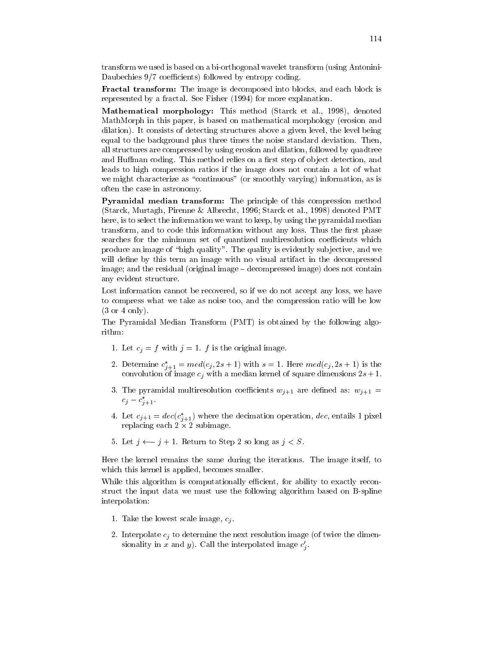transform we used is based on a bi-orthogonal wavelet transform (using Antonini-Daubechies 9/7 coefficients) followed by entropy coding.

Fractal transform: The image is decomposed into blocks, and each block is represented by a fractal. See Fisher (1994) for more explanation.

Mathematical morphology: This method (Starck et al., 1998), denoted MathMorph in this paper, is based on mathematical morphology (erosion and dilation). It consists of detecting structures above a given level, the level being equal to the background plus three times the noise standard deviation. Then, all structures are compressed by using erosion and dilation, followed by quadtree and Huffman coding. This method relies on a first step of object detection, and leads to high compression ratios if the image does not contain a lot of what we might characterize as "continuous" (or smoothly varying) information, as is often the case in astronomy.

Pyramidal median transform: The principle of this compression method (Starck, Murtagh, Pirenne & Albrecht, 1996; Starck et al., 1998) denoted PMT here, is to select the information we want to keep, by using the pyramidal median transform, and to code this information without any loss. Thus the first phase searches for the minimum set of quantized multiresolution coefficients which produce an image of "high quality". The quality is evidently subjective, and we will define by this term an image with no visual artifact in the decompressed image; and the residual (original image – decompressed image) does not contain any evident structure.

Lost information cannot be recovered, so if we do not accept any loss, we have to compress what we take as noise too, and the compression ratio will be low  $(3 \text{ or } 4 \text{ only}).$ 

The Pyramidal Median Transform (PMT) is obtained by the following algorithm:

- 1. Let  $c_j = f$  with  $j = 1$ . f is the original image.
- 2. Determine  $c_{j+1}^* = med(c_j, 2s + 1)$  with  $s = 1$ . Here  $med(c_j, 2s + 1)$  is the convolution of image  $c_i$  with a median kernel of square dimensions  $2s + 1$ .
- 3. The pyramidal multiresolution coefficients  $w_{j+1}$  are defined as:  $w_{j+1} =$  $c_j - c_{j+1}^*$ .
- 4. Let  $c_{j+1} = dec(c_{j+1}^*)$  where the decimation operation, dec, entails 1 pixel replacing each  $2 \times 2$  subimage.
- 5. Let  $j \leftarrow j + 1$ . Return to Step 2 so long as  $j < S$ .

Here the kernel remains the same during the iterations. The image itself, to which this kernel is applied, becomes smaller.

While this algorithm is computationally efficient, for ability to exactly reconstruct the input data we must use the following algorithm based on B-spline interpolation:

- 1. Take the lowest scale image,  $c_i$ .
- 2. Interpolate  $c_i$  to determine the next resolution image (of twice the dimensionality in x and y). Call the interpolated image  $c'_j$ .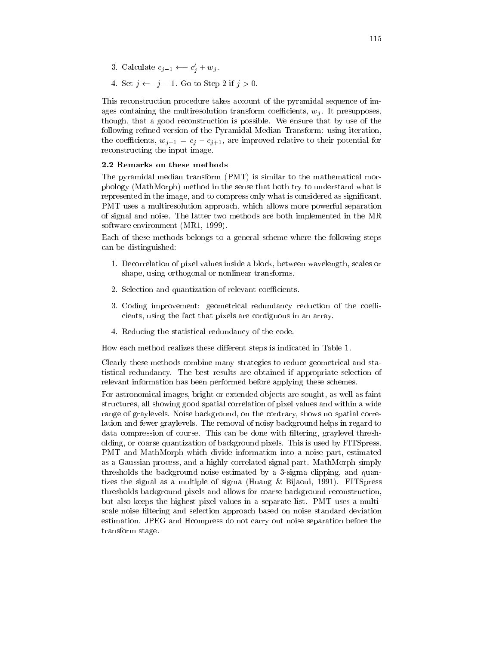- 3. Calculate  $c_{j-1} \leftarrow c'_j + w_j$ .
- 4. Set  $j \leftarrow j 1$ . Go to Step 2 if  $j > 0$ .

This reconstruction procedure takes account of the pyramidal sequence of images containing the multiresolution transform coefficients,  $w_i$ . It presupposes, though, that a good reconstruction is possible. We ensure that by use of the following refined version of the Pyramidal Median Transform: using iteration, the coefficients,  $w_{j+1} = c_j - c_{j+1}$ , are improved relative to their potential for reconstructing the input image.

#### 2.2 Remarks on these methods

The pyramidal median transform (PMT) is similar to the mathematical morphology (MathMorph) method in the sense that both try to understand what is represented in the image, and to compress only what is considered as significant. PMT uses a multiresolution approach, which allows more powerful separation of signal and noise. The latter two methods are both implemented in the MR software environment (MR1, 1999).

Each of these methods belongs to a general scheme where the following steps can be distinguished:

- 1. Decorrelation of pixel values inside a block, between wavelength, scales or shape, using orthogonal or nonlinear transforms.
- 2. Selection and quantization of relevant coefficients.
- 3. Coding improvement: geometrical redundancy reduction of the coefficients, using the fact that pixels are contiguous in an array.
- 4. Reducing the statistical redundancy of the code.

How each method realizes these different steps is indicated in Table 1.

Clearly these methods combine many strategies to reduce geometrical and statistical redundancy. The best results are obtained if appropriate selection of relevant information has been performed before applying these schemes.

For astronomical images, bright or extended objects are sought, as well as faint structures, all showing good spatial correlation of pixel values and within a wide range of graylevels. Noise background, on the contrary, shows no spatial correlation and fewer graylevels. The removal of noisy background helps in regard to data compression of course. This can be done with filtering, graylevel thresholding, or coarse quantization of background pixels. This is used by FITSpress, PMT and MathMorph which divide information into a noise part, estimated as a Gaussian process, and a highly correlated signal part. MathMorph simply thresholds the background noise estimated by a 3-sigma clipping, and quantizes the signal as a multiple of sigma (Huang & Bijaoui, 1991). FITSpress thresholds background pixels and allows for coarse background reconstruction, but also keeps the highest pixel values in a separate list. PMT uses a multiscale noise filtering and selection approach based on noise standard deviation estimation. JPEG and H compress do not carry out noise separation before the transform stage.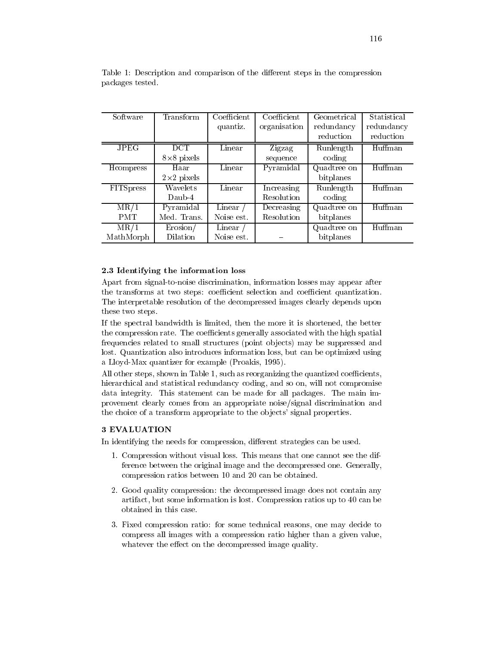| Software          | Transform          | Coefficient | Coefficient       | Geometrical | Statistical |
|-------------------|--------------------|-------------|-------------------|-------------|-------------|
|                   |                    | quantiz.    | organisation      | redundancy  | redundancy  |
|                   |                    |             |                   | reduction   | reduction   |
| <b>JPEG</b>       | <b>DCT</b>         | Linear      | Zigzag            | Runlength   | Huffman     |
|                   | $8\times 8$ pixels |             | sequence          | coding      |             |
| Hompress          | Haar               | Linear      | Pyramidal         | Quadtree on | Huffman     |
|                   | $2\times2$ pixels  |             |                   | bitplanes   |             |
| <b>FITS</b> press | Wavelets           | Linear      | <b>Increasing</b> | Runlength   | Huffman     |
|                   | $Daub-4$           |             | Resolution        | coding      |             |
| MR/1              | Pyramidal          | Linear      | Decreasing        | Quadtree on | Huffman     |
| <b>PMT</b>        | Med. Trans.        | Noise est.  | Resolution        | bitplanes   |             |
| MR/1              | Erosion/           | Linear      |                   | Quadtree on | Huffman     |
| MathMorph         | Dilation           | Noise est.  |                   | bitplanes   |             |

Table 1: Description and comparison of the different steps in the compression packages tested.

#### 2.3 Identifying the information loss

Apart from signal-to-noise discrimination, information losses may appear after the transforms at two steps: coefficient selection and coefficient quantization. The interpretable resolution of the decompressed images clearly depends upon these two steps.

If the spectral bandwidth is limited, then the more it is shortened, the better the compression rate. The coefficients generally associated with the high spatial frequencies related to small structures (point objects) may be suppressed and lost. Quantization also introduces information loss, but can be optimized using a Lloyd-Max quantizer for example (Proakis, 1995).

All other steps, shown in Table 1, such as reorganizing the quantized coefficients, hierarchical and statistical redundancy coding, and so on, will not compromise data integrity. This statement can be made for all packages. The main improvement clearly comes from an appropriate noise/signal discrimination and the choice of a transform appropriate to the objects' signal properties.

#### 3 EVALUATION

In identifying the needs for compression, different strategies can be used.

- 1. Compression without visual loss. This means that one cannot see the difference between the original image and the decompressed one. Generally, compression ratios between 10 and 20 can be obtained.
- 2. Good quality compression: the decompressed image does not contain any artifact, but some information is lost. Compression ratios up to 40 can be obtained in this case.
- 3. Fixed compression ratio: for some technical reasons, one may decide to compress all images with a compression ratio higher than a given value, whatever the effect on the decompressed image quality.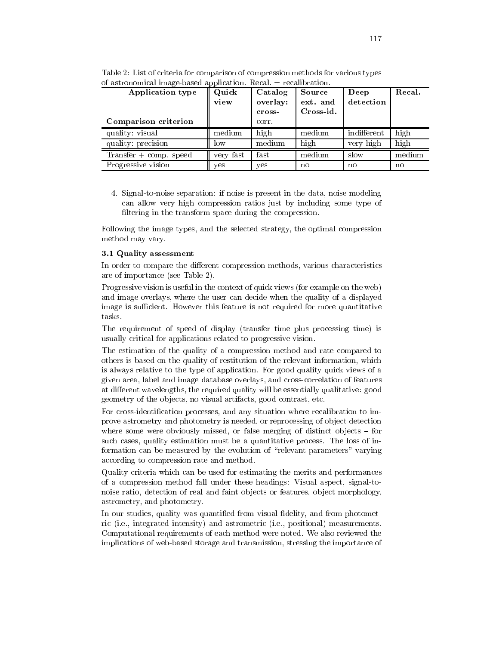| Application type         | Quick<br>view | Catalog<br>overlay:<br>cross- | Source<br>ext. and<br>Cross-id. | Deep<br>detection | Recal. |
|--------------------------|---------------|-------------------------------|---------------------------------|-------------------|--------|
| Comparison criterion     |               | corr.                         |                                 |                   |        |
| quality: visual          | medium        | high                          | medium                          | indifferent       | high   |
| quality: precision       | low           | medium                        | high                            | very high         | high   |
| $Transfer + comp. speed$ | very fast     | fast                          | medium                          | slow              | median |
| Progressive vision       | ves           | yes                           | no                              | no                | no     |

Table 2: List of criteria for comparison of compression methods for various types of astronomical image-based application. Recal.  $=$  recalibration

4. Signal-to-noise separation: if noise is present in the data, noise modeling can allow very high compression ratios just by including some type of filtering in the transform space during the compression.

Following the image types, and the selected strategy, the optimal compression method may vary.

#### 3.1 Quality assessment

In order to compare the different compression methods, various characteristics are of importance (see Table 2).

Progressive vision is useful in the context of quick views (for example on the web) and image overlays, where the user can decide when the quality of a displayed image is sufficient. However this feature is not required for more quantitative tasks.

The requirement of speed of display (transfer time plus processing time) is usually critical for applications related to progressive vision.

The estimation of the quality of a compression method and rate compared to others is based on the quality of restitution of the relevant information, which is always relative to the type of application. For good quality quick views of a given area, label and image database overlays, and cross-correlation of features at different wavelengths, the required quality will be essentially qualitative: good geometry of the objects, no visual artifacts, good contrast, etc.

For cross-identification processes, and any situation where recalibration to improve astrometry and photometry is needed, or reprocessing of object detection where some were obviously missed, or false merging of distinct objects  $-$  for such cases, quality estimation must be a quantitative process. The loss of information can be measured by the evolution of "relevant parameters" varying according to compression rate and method.

Quality criteria which can be used for estimating the merits and performances of a compression method fall under these headings: Visual aspect, signal-tonoise ratio, detection of real and faint objects or features, object morphology, astrometry, and photometry.

In our studies, quality was quantified from visual fidelity, and from photometric (i.e., integrated intensity) and astrometric (i.e., positional) measurements. Computational requirements of each method were noted. We also reviewed the implications of web-based storage and transmission, stressing the importance of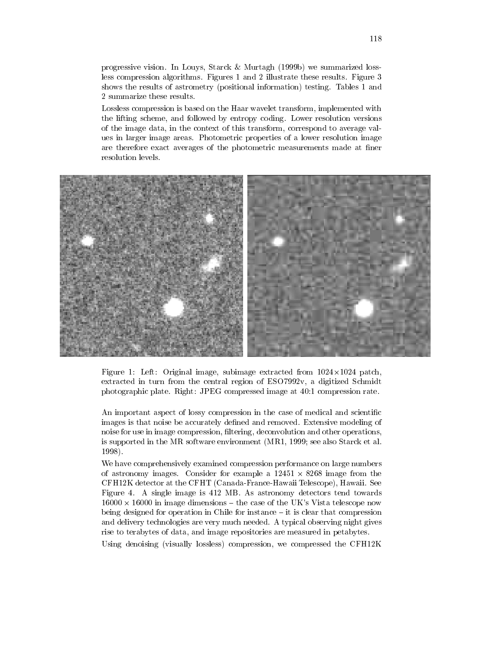progressive vision. In Louys, Starck & Murtagh (1999b) we summarized lossless compression algorithms. Figures 1 and 2 illustrate these results. Figure 3 shows the results of astrometry (positional information) testing. Tables 1 and 2 summarize these results.

Lossless compression is based on the Haar wavelet transform, implemented with the lifting scheme, and followed by entropy coding. Lower resolution versions of the image data, in the context of this transform, correspond to average values in larger image areas. Photometric properties of a lower resolution image are therefore exact averages of the photometric measurements made at finer resolution levels.



Figure 1: Left: Original image, subimage extracted from  $1024 \times 1024$  patch, extracted in turn from the central region of ESO7992v, a digitized Schmidt photographic plate. Right: JPEG compressed image at 40:1 compression rate.

An important aspect of lossy compression in the case of medical and scientific images is that noise be accurately defined and removed. Extensive modeling of noise for use in image compression, filtering, deconvolution and other operations, is supported in the MR software environment (MR1, 1999; see also Starck et al. 1998).

We have comprehensively examined compression performance on large numbers of astronomy images. Consider for example a  $12451 \times 8268$  image from the CFH12K detector at the CFHT (Canada-France-Hawaii Telescope), Hawaii. See Figure 4. A single image is 412 MB. As astronomy detectors tend towards  $16000 \times 16000$  in image dimensions – the case of the UK's Vista telescope now being designed for operation in Chile for instance  $-$  it is clear that compression and delivery technologies are very much needed. A typical observing night gives rise to terabytes of data, and image repositories are measured in petabytes.

Using denoising (visually lossless) compression, we compressed the CFH12K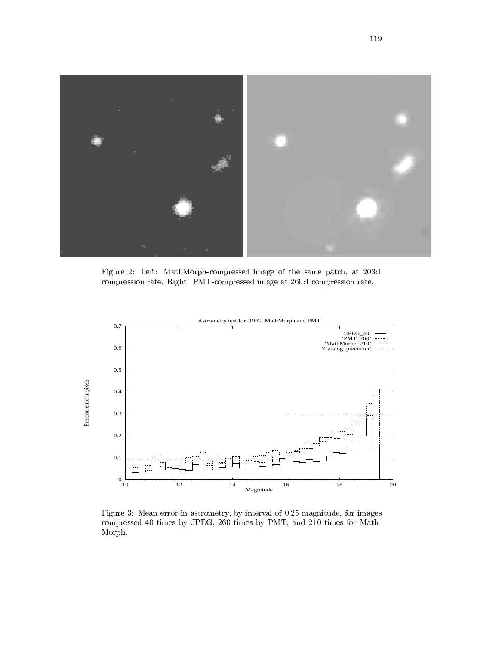

 $\mathbb{R}^3$  . The contract of  $\mathbb{R}^3$  is the contract of  $\mathbb{R}^3$  . The contract of  $\mathbb{R}^3$  $\mathbf{B}$  is the contract of the contract of the contract of the contract of the contract of the contract of the contract of the contract of the contract of the contract of the contract of the contract of the contract of t



 $\mathbf{A}$  and  $\mathbf{A}$  and  $\mathbf{A}$  and  $\mathbf{A}$  and  $\mathbf{A}$  and  $\mathbf{A}$  and  $\mathbf{A}$  and  $\mathbf{A}$  and  $\mathbf{A}$  $\mathbf{r} = \mathbf{r} + \mathbf{r}$ Morph.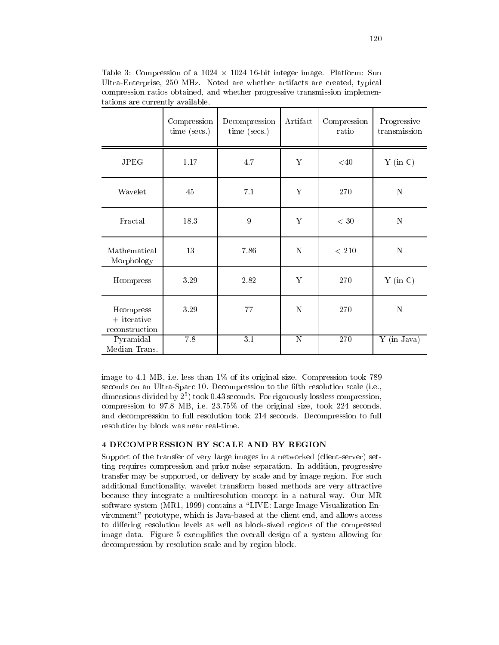Table 3: Compression of a  $1024 \times 1024$  16-bit integer image. Platform: Sun Ultra-Enterprise, 250 MHz. Noted are whether artifacts are created, typical compression ratios obtained, and whether progressive transmission implementations are currently available.

|                                              | Compression<br>time (secs.) | Decompression<br>time (secs.) | Artifact              | Compression<br>ratio | Progressive<br>transmission |
|----------------------------------------------|-----------------------------|-------------------------------|-----------------------|----------------------|-----------------------------|
| <b>JPEG</b>                                  | 1.17                        | 4.7                           | Υ                     | $<$ 40               | $Y$ (in C)                  |
| Wavelet                                      | 45                          | 7.1                           | Υ                     | 270                  | N                           |
| Fractal                                      | 18.3                        | 9                             | Υ                     | $< 30$               | N                           |
| Mathematical<br>Morphology                   | 13                          | 7.86                          | N                     | $<\,210$             | ${\bf N}$                   |
| Hcompress                                    | 3.29                        | 2.82                          | Y                     | 270                  | $Y$ (in C)                  |
| Hcompress<br>$+$ iterative<br>reconstruction | 3.29                        | 77                            | N                     | 270                  | N                           |
| Pyramidal<br>Median Trans.                   | 7.8                         | $\overline{3.1}$              | $\overline{\text{N}}$ | 270                  | Y (in Java)                 |

image to 4.1 MB, i.e. less than  $1\%$  of its original size. Compression took 789 seconds on an Ultra-Sparc 10. Decompression to the fifth resolution scale (i.e., dimensions divided by  $2^5$ ) took 0.43 seconds. For rigorously lossless compression, compression to 97.8 MB, i.e. 23.75% of the original size, took 224 seconds, and decompression to full resolution took 214 seconds. Decompression to full resolution by block was near real-time.

## **4 DECOMPRESSION BY SCALE AND BY REGION**

Support of the transfer of very large images in a networked (client-server) setting requires compression and prior noise separation. In addition, progressive transfer may be supported, or delivery by scale and by image region. For such additional functionality, wavelet transform based methods are very attractive because they integrate a multiresolution concept in a natural way. Our MR software system (MR1, 1999) contains a "LIVE: Large Image Visualization Environment" prototype, which is Java-based at the client end, and allows access to differing resolution levels as well as block-sized regions of the compressed image data. Figure 5 exemplifies the overall design of a system allowing for decompression by resolution scale and by region block.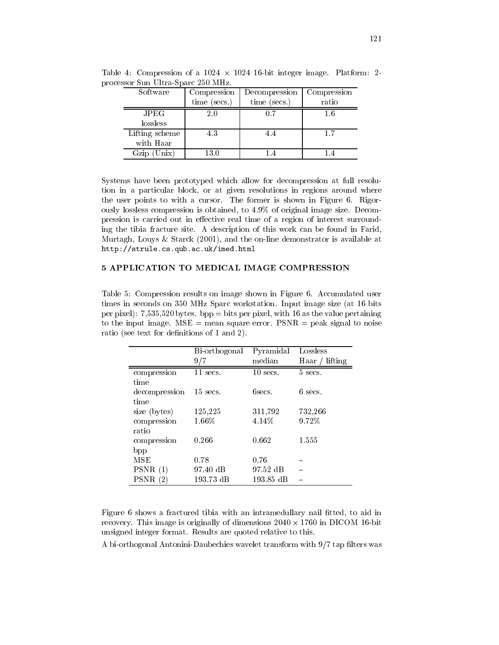| Software                      | Compression  | Decompression  | Compression |  |
|-------------------------------|--------------|----------------|-------------|--|
|                               | time (secs.) | $time$ (secs.) | ratio       |  |
| $_{\rm JPEG}$                 | 2.0          | 0.7            | 1.6         |  |
| lossless                      |              |                |             |  |
| Lifting scheme                | 43           | 44             | 1.7         |  |
| with Haar                     |              |                |             |  |
| $\ln$ ix <sup>1</sup><br>Gzir | 13.0         |                |             |  |

Table 4: Compression of a  $1024 \times 1024$  16-bit integer image. Platform: 2processor Sun Ultra-Sparc 250 MHz.

Systems have been prototyped which allow for decompression at full resolution in a particular block, or at given resolutions in regions around where the user points to with a cursor. The former is shown in Figure 6. Rigorously lossless compression is obtained, to 4.9% of original image size. Decompression is carried out in effective real time of a region of interest surrounding the tibia fracture site. A description of this work can be found in Farid, Murtagh, Louys & Starck (2001), and the on-line demonstrator is available at  $\verb+http://strule.cs.qub.ac.uk/index.html{$ 

## 5 APPLICATION TO MEDICAL IMAGE COMPRESSION

Table 5: Compression results on image shown in Figure 6. Accumulated user times in seconds on 350 MHz Sparc workstation. Input image size (at 16 bits per pixel): 7,535,520 bytes. bpp = bits per pixel, with 16 as the value pertaining to the input image.  $MSE = \text{mean square error}$ .  $PSNR = \text{peak signal to noise}$ ratio (see text for definitions of 1 and 2).

|                    | Bi-orthogonal | Pyramidal  | Lossless            |
|--------------------|---------------|------------|---------------------|
|                    | 9/7           | median     | lifting<br>Haar $/$ |
| compression        | $11$ secs.    | $10$ secs. | 5 secs.             |
| time               |               |            |                     |
| decompression      | $15$ secs.    | 6secs.     | $6$ secs.           |
| time               |               |            |                     |
| size (bytes)       | 125,225       | 311,792    | 732,266             |
| compression        | $1.66\%$      | 4.14%      | 9.72%               |
| ratio              |               |            |                     |
| compression        | 0.266         | 0.662      | 1.555               |
| bpp                |               |            |                     |
| MSE                | 0.78          | 0.76       |                     |
| PSNR(1)            | 97.40 dB      | 97.52 dB   |                     |
| <b>PSNR</b><br>(2) | 193.73 dB     | 193.85 dB  |                     |

Figure 6 shows a fractured tibia with an intramedullary nail fitted, to aid in recovery. This image is originally of dimensions  $2040 \times 1760$  in DICOM 16-bit unsigned integer format. Results are quoted relative to this.

A bi-orthogonal Antonini-Daubechies wavelet transform with 9/7 tap filters was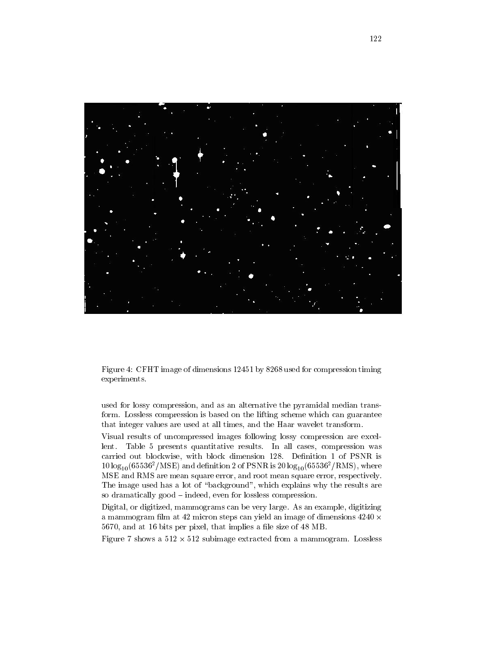

Figure 4: CFHT image of dimensions 12451 by 8268 used for compression timing experiments.

used for lossy compression, and as an alternative the pyramidal median transform. Lossless compression is based on the lifting scheme which can guarantee that integer values are used at all times, and the Haar wavelet transform.

Visual results of uncompressed images following lossy compression are excellent. Table 5 presents quantitative results. In all cases, compression was carried out blockwise, with block dimension 128. Definition 1 of PSNR is  $10 \log_{10} (65536^2/\text{MSE})$  and definition 2 of PSNR is  $20 \log_{10} (65536^2/\text{RMS})$ , where MSE and RMS are mean square error, and root mean square error, respectively. The image used has a lot of "background", which explains why the results are so dramatically good – indeed, even for lossless compression.

Digital, or digitized, mammograms can be very large. As an example, digitizing a mammogram film at 42 micron steps can yield an image of dimensions  $4240 \times$ 5670, and at 16 bits per pixel, that implies a file size of 48 MB.

Figure 7 shows a  $512 \times 512$  subimage extracted from a mammogram. Lossless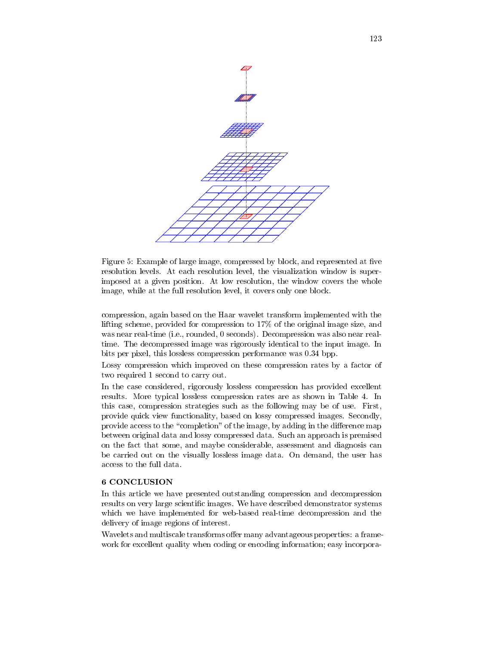

Figure 5: Example of large image, compressed by block, and represented at five resolution levels. At each resolution level, the visualization window is superimposed at a given position. At low resolution, the window covers the whole image, while at the full resolution level, it covers only one block.

compression, again based on the Haar wavelet transform implemented with the lifting scheme, provided for compression to 17% of the original image size, and was near real-time (i.e., rounded, 0 seconds). Decompression was also near realtime. The decompressed image was rigorously identical to the input image. In bits per pixel, this lossless compression performance was 0.34 bpp.

Lossy compression which improved on these compression rates by a factor of two required 1 second to carry out.

In the case considered, rigorously lossless compression has provided excellent results. More typical lossless compression rates are as shown in Table 4. In this case, compression strategies such as the following may be of use. First, provide quick view functionality, based on lossy compressed images. Secondly, provide access to the "completion" of the image, by adding in the difference map between original data and lossy compressed data. Such an approach is premised on the fact that some, and maybe considerable, assessment and diagnosis can be carried out on the visually lossless image data. On demand, the user has access to the full data.

#### **6 CONCLUSION**

In this article we have presented outstanding compression and decompression results on very large scientific images. We have described demonstrator systems which we have implemented for web-based real-time decompression and the delivery of image regions of interest.

Wavelets and multiscale transforms offer many advantageous properties: a framework for excellent quality when coding or encoding information; easy incorpora-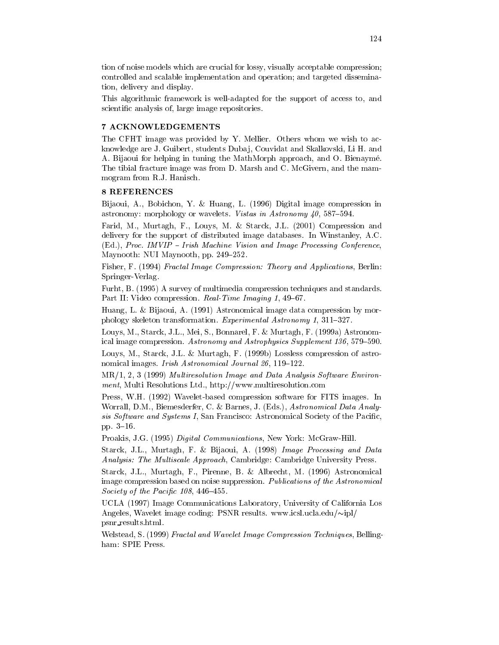tion of noise models which are crucial for lossy, visually acceptable compression; controlled and scalable implementation and operation; and targeted dissemination, delivery and display.

This algorithmic framework is well-adapted for the support of access to, and scientific analysis of, large image repositories.

#### 7 ACKNOWLEDGEMENTS

The CFHT image was provided by Y. Mellier. Others whom we wish to acknowledge are J. Guibert, students Dubaj, Couvidat and Skalkovski, Li H. and A. Bijaoui for helping in tuning the MathMorph approach, and O. Bienaymé. The tibial fracture image was from D. Marsh and C. McGivern, and the mammogram from R.J. Hanisch.

#### 8 REFERENCES

Bijaoui, A., Bobichon, Y. & Huang, L. (1996) Digital image compression in astronomy: morphology or wavelets. Vistas in Astronomy 40, 587-594.

Farid, M., Murtagh, F., Louys, M. & Starck, J.L. (2001) Compression and delivery for the support of distributed image databases. In Winstanley, A.C. (Ed.), Proc. IMVIP - Irish Machine Vision and Image Processing Conference, Maynooth: NUI Maynooth, pp. 249-252.

Fisher, F. (1994) Fractal Image Compression: Theory and Applications, Berlin: Springer-Verlag.

Furht, B. (1995) A survey of multimedia compression techniques and standards. Part II: Video compression. Real Time Imaging 1, 49–67.

Huang, L. & Bijaoui, A. (1991) Astronomical image data compression by morphology skeleton transformation. Experimental Astronomy 1, 311-327.

Louys, M., Starck, J.L., Mei, S., Bonnarel, F. & Murtagh, F. (1999a) Astronomical image compression. Astronomy and Astrophysics Supplement 136, 579-590.

Louys, M., Starck, J.L. & Murtagh, F. (1999b) Lossless compression of astronomical images. Irish Astronomical Journal 26, 119-122.

MR/1, 2, 3 (1999) Multiresolution Image and Data Analysis Software Environment, Multi Resolutions Ltd., http://www.multiresolution.com

Press, W.H. (1992) Wavelet-based compression software for FITS images. In Worrall, D.M., Biemesderfer, C. & Barnes, J. (Eds.), Astronomical Data Analysis Software and Systems I, San Francisco: Astronomical Society of the Pacific, pp.  $3-16$ 

Proakis, J.G. (1995) Digital Communications, New York: McGraw-Hill.

Starck, J.L., Murtagh, F. & Bijaoui, A. (1998) Image Processing and Data *Analysis: The Multiscale Approach*, Cambridge: Cambridge University Press.

Starck, J.L., Murtagh, F., Pirenne, B. & Albrecht, M. (1996) Astronomical image compression based on noise suppression. Publications of the Astronomical Society of the Pacific  $108, 446 - 455$ .

UCLA (1997) Image Communications Laboratory, University of California Los Angeles, Wavelet image coding: PSNR results. www.icsl.ucla.edu/ $\sim$ ipl/ psnr\_results.html.

Welstead, S. (1999) Fractal and Wavelet Image Compression Techniques, Bellingham: SPIE Press.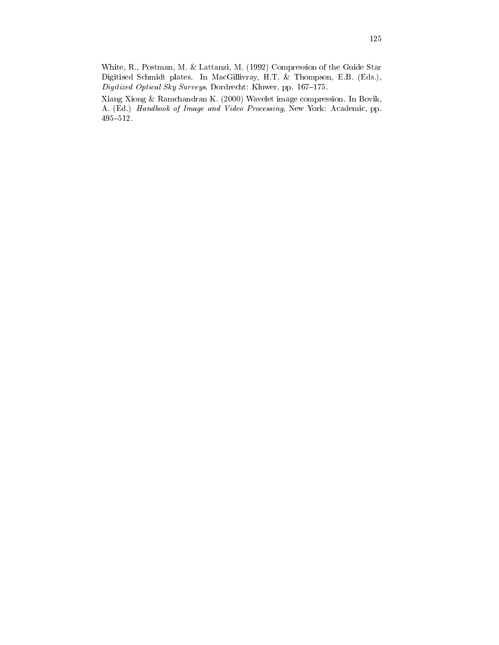White, R., Postman, M. & Lattanzi, M. (1992) Compression of the Guide Star Digitised Schmidt plates. In MacGillivray, H.T. & Thompson, E.B. (Eds.), Digitized Optical Sky Surveys, Dordrecht: Kluwer, pp. 167-175.

Xiang Xiong & Ramchandran K. (2000) Wavelet image compression. In Bovik, A. (Ed.) Handbook of Image and Video Processing, New York: Academic, pp.  $495 - 512$ .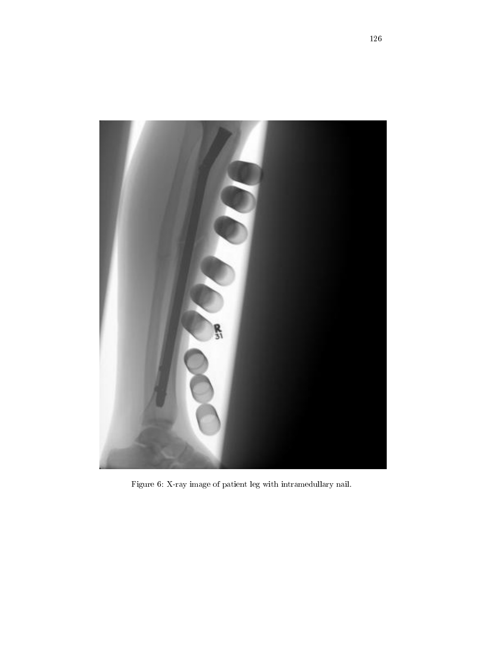

Figure 6: X-ray image of patient leg with intramedullary nail.